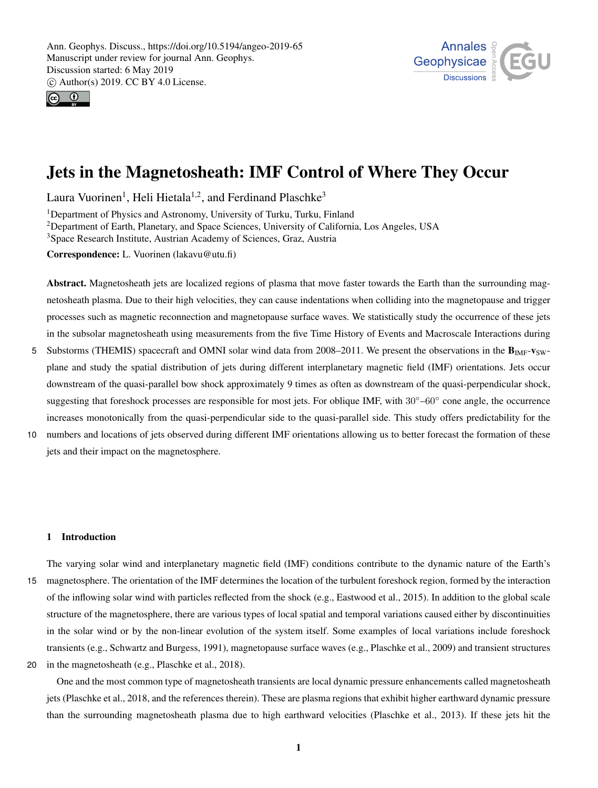



# Jets in the Magnetosheath: IMF Control of Where They Occur

Laura Vuorinen<sup>1</sup>, Heli Hietala<sup>1,2</sup>, and Ferdinand Plaschke<sup>3</sup>

<sup>1</sup>Department of Physics and Astronomy, University of Turku, Turku, Finland <sup>2</sup>Department of Earth, Planetary, and Space Sciences, University of California, Los Angeles, USA <sup>3</sup>Space Research Institute, Austrian Academy of Sciences, Graz, Austria

Correspondence: L. Vuorinen (lakavu@utu.fi)

Abstract. Magnetosheath jets are localized regions of plasma that move faster towards the Earth than the surrounding magnetosheath plasma. Due to their high velocities, they can cause indentations when colliding into the magnetopause and trigger processes such as magnetic reconnection and magnetopause surface waves. We statistically study the occurrence of these jets in the subsolar magnetosheath using measurements from the five Time History of Events and Macroscale Interactions during

- 5 Substorms (THEMIS) spacecraft and OMNI solar wind data from 2008–2011. We present the observations in the  $B_{\text{IMF}}-v_{\text{SW}}$ plane and study the spatial distribution of jets during different interplanetary magnetic field (IMF) orientations. Jets occur downstream of the quasi-parallel bow shock approximately 9 times as often as downstream of the quasi-perpendicular shock, suggesting that foreshock processes are responsible for most jets. For oblique IMF, with 30°–60° cone angle, the occurrence increases monotonically from the quasi-perpendicular side to the quasi-parallel side. This study offers predictability for the
- 10 numbers and locations of jets observed during different IMF orientations allowing us to better forecast the formation of these jets and their impact on the magnetosphere.

### 1 Introduction

- The varying solar wind and interplanetary magnetic field (IMF) conditions contribute to the dynamic nature of the Earth's 15 magnetosphere. The orientation of the IMF determines the location of the turbulent foreshock region, formed by the interaction of the inflowing solar wind with particles reflected from the shock (e.g., Eastwood et al., 2015). In addition to the global scale structure of the magnetosphere, there are various types of local spatial and temporal variations caused either by discontinuities in the solar wind or by the non-linear evolution of the system itself. Some examples of local variations include foreshock transients (e.g., Schwartz and Burgess, 1991), magnetopause surface waves (e.g., Plaschke et al., 2009) and transient structures
- 20 in the magnetosheath (e.g., Plaschke et al., 2018).

One and the most common type of magnetosheath transients are local dynamic pressure enhancements called magnetosheath jets (Plaschke et al., 2018, and the references therein). These are plasma regions that exhibit higher earthward dynamic pressure than the surrounding magnetosheath plasma due to high earthward velocities (Plaschke et al., 2013). If these jets hit the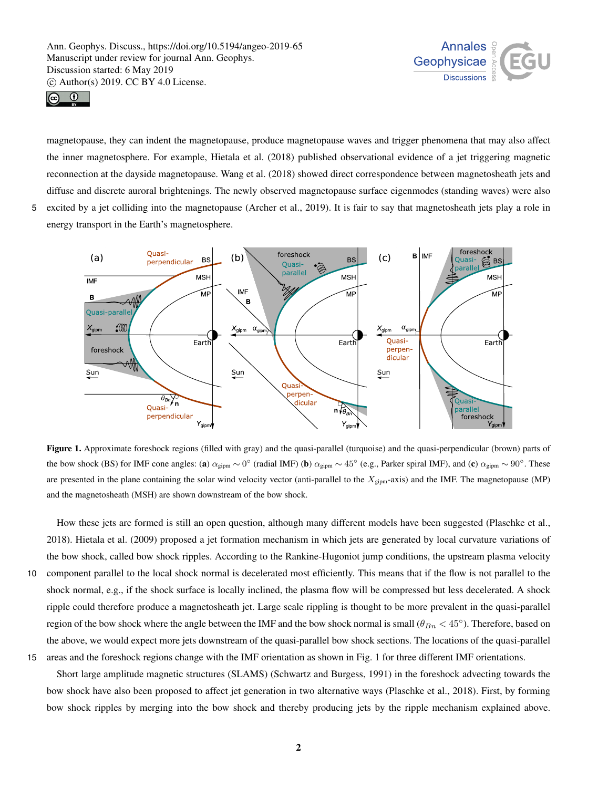



magnetopause, they can indent the magnetopause, produce magnetopause waves and trigger phenomena that may also affect the inner magnetosphere. For example, Hietala et al. (2018) published observational evidence of a jet triggering magnetic reconnection at the dayside magnetopause. Wang et al. (2018) showed direct correspondence between magnetosheath jets and diffuse and discrete auroral brightenings. The newly observed magnetopause surface eigenmodes (standing waves) were also 5 excited by a jet colliding into the magnetopause (Archer et al., 2019). It is fair to say that magnetosheath jets play a role in energy transport in the Earth's magnetosphere.



Figure 1. Approximate foreshock regions (filled with gray) and the quasi-parallel (turquoise) and the quasi-perpendicular (brown) parts of the bow shock (BS) for IMF cone angles: (a)  $\alpha_{\text{gipm}} \sim 0^{\circ}$  (radial IMF) (b)  $\alpha_{\text{gipm}} \sim 45^{\circ}$  (e.g., Parker spiral IMF), and (c)  $\alpha_{\text{gipm}} \sim 90^{\circ}$ . These are presented in the plane containing the solar wind velocity vector (anti-parallel to the  $X_{\text{gipm}}$ -axis) and the IMF. The magnetopause (MP) and the magnetosheath (MSH) are shown downstream of the bow shock.

How these jets are formed is still an open question, although many different models have been suggested (Plaschke et al., 2018). Hietala et al. (2009) proposed a jet formation mechanism in which jets are generated by local curvature variations of the bow shock, called bow shock ripples. According to the Rankine-Hugoniot jump conditions, the upstream plasma velocity 10 component parallel to the local shock normal is decelerated most efficiently. This means that if the flow is not parallel to the shock normal, e.g., if the shock surface is locally inclined, the plasma flow will be compressed but less decelerated. A shock ripple could therefore produce a magnetosheath jet. Large scale rippling is thought to be more prevalent in the quasi-parallel region of the bow shock where the angle between the IMF and the bow shock normal is small ( $\theta_{Bn}$  < 45°). Therefore, based on the above, we would expect more jets downstream of the quasi-parallel bow shock sections. The locations of the quasi-parallel 15 areas and the foreshock regions change with the IMF orientation as shown in Fig. 1 for three different IMF orientations.

Short large amplitude magnetic structures (SLAMS) (Schwartz and Burgess, 1991) in the foreshock advecting towards the bow shock have also been proposed to affect jet generation in two alternative ways (Plaschke et al., 2018). First, by forming bow shock ripples by merging into the bow shock and thereby producing jets by the ripple mechanism explained above.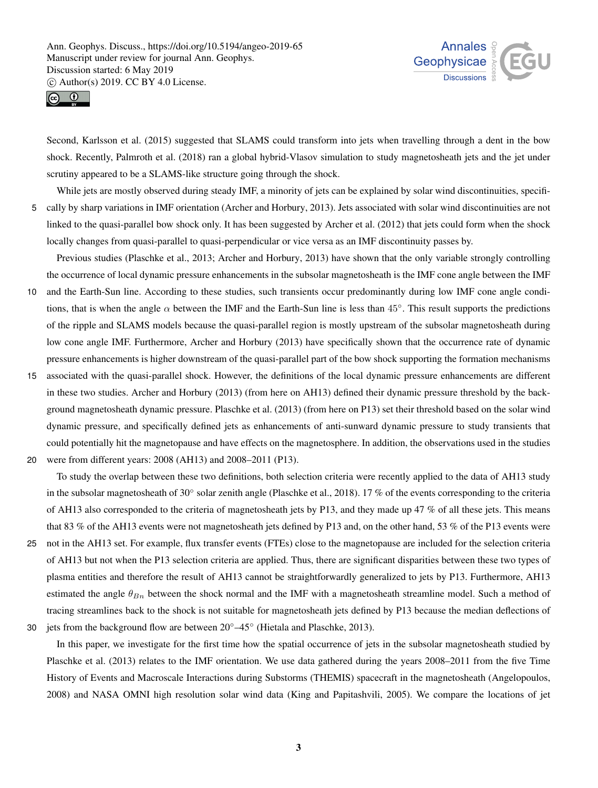



Second, Karlsson et al. (2015) suggested that SLAMS could transform into jets when travelling through a dent in the bow shock. Recently, Palmroth et al. (2018) ran a global hybrid-Vlasov simulation to study magnetosheath jets and the jet under scrutiny appeared to be a SLAMS-like structure going through the shock.

While jets are mostly observed during steady IMF, a minority of jets can be explained by solar wind discontinuities, specifi-5 cally by sharp variations in IMF orientation (Archer and Horbury, 2013). Jets associated with solar wind discontinuities are not linked to the quasi-parallel bow shock only. It has been suggested by Archer et al. (2012) that jets could form when the shock locally changes from quasi-parallel to quasi-perpendicular or vice versa as an IMF discontinuity passes by.

Previous studies (Plaschke et al., 2013; Archer and Horbury, 2013) have shown that the only variable strongly controlling the occurrence of local dynamic pressure enhancements in the subsolar magnetosheath is the IMF cone angle between the IMF

- 10 and the Earth-Sun line. According to these studies, such transients occur predominantly during low IMF cone angle conditions, that is when the angle  $\alpha$  between the IMF and the Earth-Sun line is less than 45°. This result supports the predictions of the ripple and SLAMS models because the quasi-parallel region is mostly upstream of the subsolar magnetosheath during low cone angle IMF. Furthermore, Archer and Horbury (2013) have specifically shown that the occurrence rate of dynamic pressure enhancements is higher downstream of the quasi-parallel part of the bow shock supporting the formation mechanisms
- 15 associated with the quasi-parallel shock. However, the definitions of the local dynamic pressure enhancements are different in these two studies. Archer and Horbury (2013) (from here on AH13) defined their dynamic pressure threshold by the background magnetosheath dynamic pressure. Plaschke et al. (2013) (from here on P13) set their threshold based on the solar wind dynamic pressure, and specifically defined jets as enhancements of anti-sunward dynamic pressure to study transients that could potentially hit the magnetopause and have effects on the magnetosphere. In addition, the observations used in the studies
- 20 were from different years: 2008 (AH13) and 2008–2011 (P13).

To study the overlap between these two definitions, both selection criteria were recently applied to the data of AH13 study in the subsolar magnetosheath of  $30°$  solar zenith angle (Plaschke et al., 2018). 17 % of the events corresponding to the criteria of AH13 also corresponded to the criteria of magnetosheath jets by P13, and they made up 47 % of all these jets. This means that 83 % of the AH13 events were not magnetosheath jets defined by P13 and, on the other hand, 53 % of the P13 events were

- 25 not in the AH13 set. For example, flux transfer events (FTEs) close to the magnetopause are included for the selection criteria of AH13 but not when the P13 selection criteria are applied. Thus, there are significant disparities between these two types of plasma entities and therefore the result of AH13 cannot be straightforwardly generalized to jets by P13. Furthermore, AH13 estimated the angle  $\theta_{B_n}$  between the shock normal and the IMF with a magnetosheath streamline model. Such a method of tracing streamlines back to the shock is not suitable for magnetosheath jets defined by P13 because the median deflections of
- jets from the background flow are between 20◦–45◦ 30 (Hietala and Plaschke, 2013).

In this paper, we investigate for the first time how the spatial occurrence of jets in the subsolar magnetosheath studied by Plaschke et al. (2013) relates to the IMF orientation. We use data gathered during the years 2008–2011 from the five Time History of Events and Macroscale Interactions during Substorms (THEMIS) spacecraft in the magnetosheath (Angelopoulos, 2008) and NASA OMNI high resolution solar wind data (King and Papitashvili, 2005). We compare the locations of jet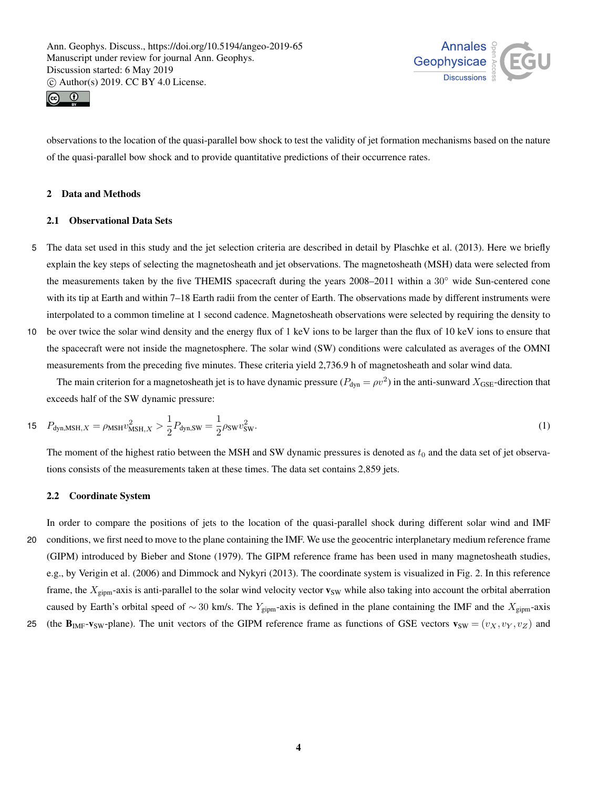



observations to the location of the quasi-parallel bow shock to test the validity of jet formation mechanisms based on the nature of the quasi-parallel bow shock and to provide quantitative predictions of their occurrence rates.

## 2 Data and Methods

## 2.1 Observational Data Sets

- 5 The data set used in this study and the jet selection criteria are described in detail by Plaschke et al. (2013). Here we briefly explain the key steps of selecting the magnetosheath and jet observations. The magnetosheath (MSH) data were selected from the measurements taken by the five THEMIS spacecraft during the years 2008–2011 within a 30◦ wide Sun-centered cone with its tip at Earth and within 7–18 Earth radii from the center of Earth. The observations made by different instruments were interpolated to a common timeline at 1 second cadence. Magnetosheath observations were selected by requiring the density to
- 10 be over twice the solar wind density and the energy flux of 1 keV ions to be larger than the flux of 10 keV ions to ensure that the spacecraft were not inside the magnetosphere. The solar wind (SW) conditions were calculated as averages of the OMNI measurements from the preceding five minutes. These criteria yield 2,736.9 h of magnetosheath and solar wind data.

The main criterion for a magnetosheath jet is to have dynamic pressure ( $P_{dyn} = \rho v^2$ ) in the anti-sunward  $X_{GSE}$ -direction that exceeds half of the SW dynamic pressure:

15 
$$
P_{\text{dyn,MSH},X} = \rho_{\text{MSH}} v_{\text{MSH},X}^2 > \frac{1}{2} P_{\text{dyn,SW}} = \frac{1}{2} \rho_{\text{SW}} v_{\text{SW}}^2.
$$
 (1)

The moment of the highest ratio between the MSH and SW dynamic pressures is denoted as  $t_0$  and the data set of jet observations consists of the measurements taken at these times. The data set contains 2,859 jets.

## 2.2 Coordinate System

In order to compare the positions of jets to the location of the quasi-parallel shock during different solar wind and IMF 20 conditions, we first need to move to the plane containing the IMF. We use the geocentric interplanetary medium reference frame (GIPM) introduced by Bieber and Stone (1979). The GIPM reference frame has been used in many magnetosheath studies, e.g., by Verigin et al. (2006) and Dimmock and Nykyri (2013). The coordinate system is visualized in Fig. 2. In this reference frame, the  $X_{\text{gipm}}$ -axis is anti-parallel to the solar wind velocity vector  $\mathbf{v}_{\text{SW}}$  while also taking into account the orbital aberration caused by Earth's orbital speed of ~ 30 km/s. The Y<sub>gipm</sub>-axis is defined in the plane containing the IMF and the X<sub>gipm</sub>-axis

25 (the  $\mathbf{B}_{IMF}-\mathbf{v}_{SW}-\text{plane}$ ). The unit vectors of the GIPM reference frame as functions of GSE vectors  $\mathbf{v}_{SW} = (v_X, v_Y, v_Z)$  and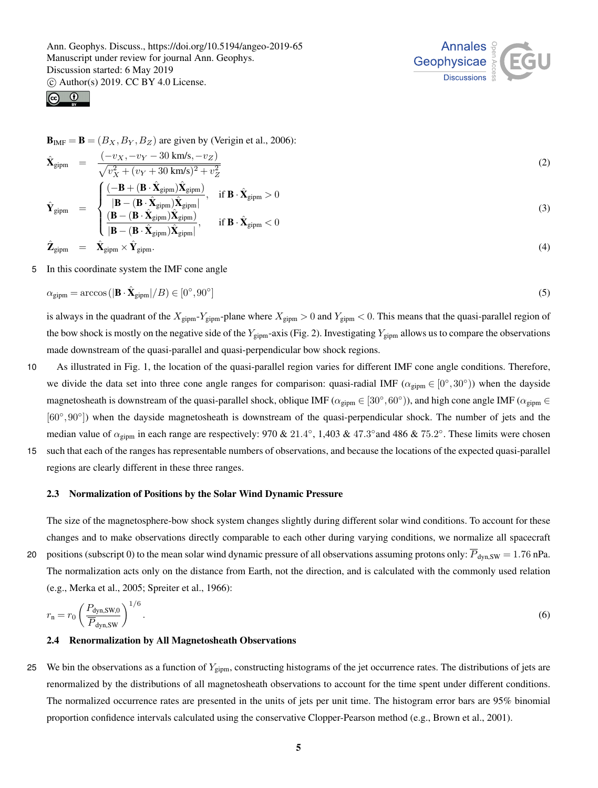



$$
\mathbf{B}_{IMF} = \mathbf{B} = (B_X, B_Y, B_Z)
$$
 are given by (Verigin et al., 2006):

$$
\hat{\mathbf{X}}_{\text{gipm}} = \frac{(-v_X, -v_Y - 30 \text{ km/s}, -v_Z)}{\sqrt{v_X^2 + (v_Y + 30 \text{ km/s})^2 + v_Z^2}} \tag{2}
$$
\n
$$
\frac{\left(-\mathbf{B} + (\mathbf{B} \cdot \hat{\mathbf{X}}_{\text{gipm}}) \hat{\mathbf{X}}_{\text{gipm}}\right)}{\left(\frac{\left(-\mathbf{B} + (\mathbf{B} \cdot \hat{\mathbf{X}}_{\text{gipm}}) \hat{\mathbf{X}}_{\text{gipm}}\right)}{\mathbf{B}} \cdot \hat{\mathbf{X}}_{\text{m}} > 0 \tag{2}
$$

$$
\hat{\mathbf{Y}}_{\text{gipm}} = \begin{cases}\n\frac{(-\mathbf{B} + (\mathbf{B} \cdot \hat{\mathbf{X}}_{\text{gipm}}) \mathbf{A}_{\text{gipm}}}{|\mathbf{B} - (\mathbf{B} \cdot \hat{\mathbf{X}}_{\text{gipm}}) \hat{\mathbf{X}}_{\text{gipm}}|}, & \text{if } \mathbf{B} \cdot \hat{\mathbf{X}}_{\text{gipm}} > 0 \\
\frac{(\mathbf{B} - (\mathbf{B} \cdot \hat{\mathbf{X}}_{\text{gipm}}) \hat{\mathbf{X}}_{\text{gipm}})}{|\mathbf{B} - (\mathbf{B} \cdot \hat{\mathbf{X}}_{\text{gipm}}) \hat{\mathbf{X}}_{\text{gipm}}|}, & \text{if } \mathbf{B} \cdot \hat{\mathbf{X}}_{\text{gipm}} < 0\n\end{cases}
$$
\n(3)

$$
\hat{\mathbf{Z}}_{\text{gipm}} = \hat{\mathbf{X}}_{\text{gipm}} \times \hat{\mathbf{Y}}_{\text{gipm}}.
$$
\n(4)

5 In this coordinate system the IMF cone angle

$$
\alpha_{\text{gipm}} = \arccos\left(|\mathbf{B} \cdot \hat{\mathbf{X}}_{\text{gipm}}| / B\right) \in [0^{\circ}, 90^{\circ}]
$$
\n<sup>(5)</sup>

is always in the quadrant of the  $X_{\text{gipm}}-Y_{\text{gipm}}$ -plane where  $X_{\text{gipm}} > 0$  and  $Y_{\text{gipm}} < 0$ . This means that the quasi-parallel region of the bow shock is mostly on the negative side of the  $Y_{\text{gipm}}$ -axis (Fig. 2). Investigating  $Y_{\text{gipm}}$  allows us to compare the observations made downstream of the quasi-parallel and quasi-perpendicular bow shock regions.

- 10 As illustrated in Fig. 1, the location of the quasi-parallel region varies for different IMF cone angle conditions. Therefore, we divide the data set into three cone angle ranges for comparison: quasi-radial IMF ( $\alpha_{\text{gipm}} \in [0^{\circ}, 30^{\circ})$ ) when the dayside magnetosheath is downstream of the quasi-parallel shock, oblique IMF ( $\alpha_{\text{gipm}} \in [30^\circ, 60^\circ)$ ), and high cone angle IMF ( $\alpha_{\text{gipm}} \in$ [60°,90°]) when the dayside magnetosheath is downstream of the quasi-perpendicular shock. The number of jets and the median value of  $\alpha_{\text{gipm}}$  in each range are respectively: 970 & 21.4°, 1,403 & 47.3° and 486 & 75.2°. These limits were chosen 15 such that each of the ranges has representable numbers of observations, and because the locations of the expected quasi-parallel
	- regions are clearly different in these three ranges.

#### 2.3 Normalization of Positions by the Solar Wind Dynamic Pressure

The size of the magnetosphere-bow shock system changes slightly during different solar wind conditions. To account for these changes and to make observations directly comparable to each other during varying conditions, we normalize all spacecraft

20 positions (subscript 0) to the mean solar wind dynamic pressure of all observations assuming protons only:  $\overline{P}_{dyn,SW} = 1.76$  nPa. The normalization acts only on the distance from Earth, not the direction, and is calculated with the commonly used relation (e.g., Merka et al., 2005; Spreiter et al., 1966):

$$
r_{\rm n} = r_0 \left(\frac{P_{\rm dyn,SW,0}}{\overline{P}_{\rm dyn,SW}}\right)^{1/6}.\tag{6}
$$

#### 2.4 Renormalization by All Magnetosheath Observations

25 We bin the observations as a function of  $Y_{\text{gipm}}$ , constructing histograms of the jet occurrence rates. The distributions of jets are renormalized by the distributions of all magnetosheath observations to account for the time spent under different conditions. The normalized occurrence rates are presented in the units of jets per unit time. The histogram error bars are 95% binomial proportion confidence intervals calculated using the conservative Clopper-Pearson method (e.g., Brown et al., 2001).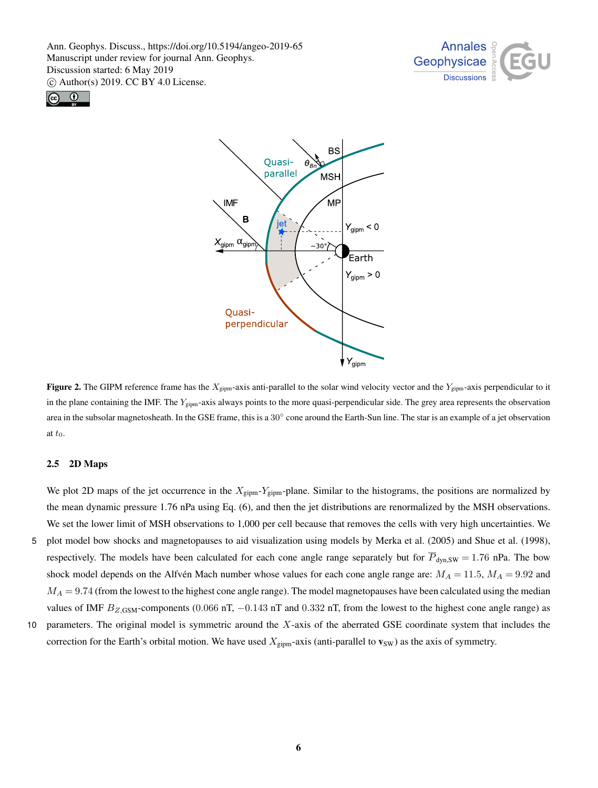





Figure 2. The GIPM reference frame has the  $X_{\text{gipm}}$ -axis anti-parallel to the solar wind velocity vector and the  $Y_{\text{gipm}}$ -axis perpendicular to it in the plane containing the IMF. The  $Y_{\text{gipm}}$ -axis always points to the more quasi-perpendicular side. The grey area represents the observation area in the subsolar magnetosheath. In the GSE frame, this is a  $30^\circ$  cone around the Earth-Sun line. The star is an example of a jet observation at  $t_0$ .

### 2.5 2D Maps

We plot 2D maps of the jet occurrence in the  $X_{\text{gipm}}-Y_{\text{gipm}}$ -plane. Similar to the histograms, the positions are normalized by the mean dynamic pressure 1.76 nPa using Eq. (6), and then the jet distributions are renormalized by the MSH observations. We set the lower limit of MSH observations to 1,000 per cell because that removes the cells with very high uncertainties. We 5 plot model bow shocks and magnetopauses to aid visualization using models by Merka et al. (2005) and Shue et al. (1998), respectively. The models have been calculated for each cone angle range separately but for  $\overline{P}_{dyn,SW} = 1.76$  nPa. The bow shock model depends on the Alfvén Mach number whose values for each cone angle range are:  $M_A = 11.5$ ,  $M_A = 9.92$  and  $M_A = 9.74$  (from the lowest to the highest cone angle range). The model magnetopauses have been calculated using the median values of IMF  $B_{Z,IGSM}$ -components (0.066 nT, -0.143 nT and 0.332 nT, from the lowest to the highest cone angle range) as

10 parameters. The original model is symmetric around the  $X$ -axis of the aberrated GSE coordinate system that includes the correction for the Earth's orbital motion. We have used  $X_{\text{gipm}}$ -axis (anti-parallel to  $\mathbf{v}_{\text{SW}}$ ) as the axis of symmetry.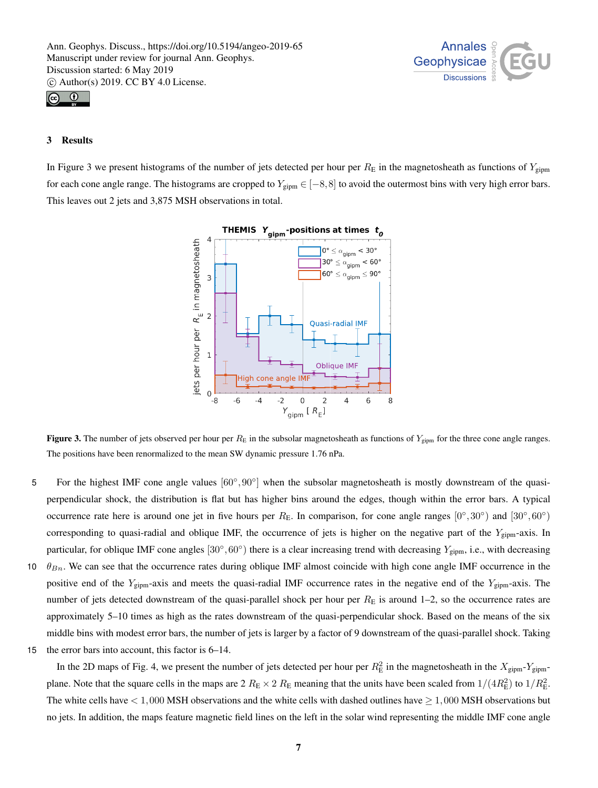



# 3 Results

In Figure 3 we present histograms of the number of jets detected per hour per  $R_E$  in the magnetosheath as functions of  $Y_{\text{gipm}}$ for each cone angle range. The histograms are cropped to  $Y_{\text{gipm}} \in [-8, 8]$  to avoid the outermost bins with very high error bars. This leaves out 2 jets and 3,875 MSH observations in total.



**Figure 3.** The number of jets observed per hour per  $R<sub>E</sub>$  in the subsolar magnetosheath as functions of  $Y<sub>gipm</sub>$  for the three cone angle ranges. The positions have been renormalized to the mean SW dynamic pressure 1.76 nPa.

- 5 For the highest IMF cone angle values  $[60^\circ, 90^\circ]$  when the subsolar magnetosheath is mostly downstream of the quasiperpendicular shock, the distribution is flat but has higher bins around the edges, though within the error bars. A typical occurrence rate here is around one jet in five hours per  $R<sub>E</sub>$ . In comparison, for cone angle ranges  $[0^{\circ}, 30^{\circ})$  and  $[30^{\circ}, 60^{\circ})$ corresponding to quasi-radial and oblique IMF, the occurrence of jets is higher on the negative part of the  $Y_{\text{gipm}}$ -axis. In particular, for oblique IMF cone angles  $[30^\circ, 60^\circ)$  there is a clear increasing trend with decreasing  $Y_{\text{gipm}}$ , i.e., with decreasing
- 10  $\theta_{Bn}$ . We can see that the occurrence rates during oblique IMF almost coincide with high cone angle IMF occurrence in the positive end of the  $Y_{\text{gipm}}$ -axis and meets the quasi-radial IMF occurrence rates in the negative end of the  $Y_{\text{gipm}}$ -axis. The number of jets detected downstream of the quasi-parallel shock per hour per  $R<sub>E</sub>$  is around 1–2, so the occurrence rates are approximately 5–10 times as high as the rates downstream of the quasi-perpendicular shock. Based on the means of the six middle bins with modest error bars, the number of jets is larger by a factor of 9 downstream of the quasi-parallel shock. Taking
- 15 the error bars into account, this factor is 6–14.

In the 2D maps of Fig. 4, we present the number of jets detected per hour per  $R_E^2$  in the magnetosheath in the  $X_{\text{gipm}}-Y_{\text{gipm}}$ plane. Note that the square cells in the maps are  $2 R_E \times 2 R_E$  meaning that the units have been scaled from  $1/(4R_E^2)$  to  $1/R_E^2$ . The white cells have  $< 1,000$  MSH observations and the white cells with dashed outlines have  $\geq 1,000$  MSH observations but no jets. In addition, the maps feature magnetic field lines on the left in the solar wind representing the middle IMF cone angle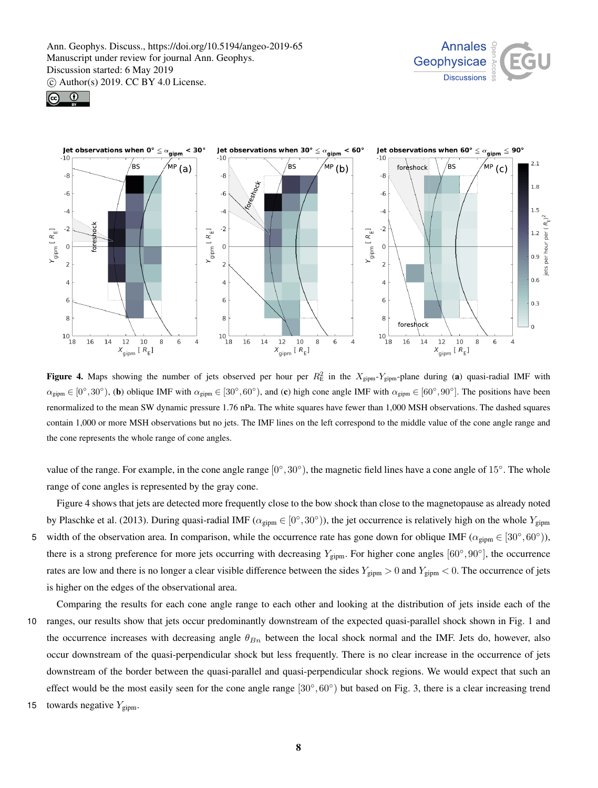





**Figure 4.** Maps showing the number of jets observed per hour per  $R_E^2$  in the  $X_{\text{gipm}}-Y_{\text{gipm}}$ -plane during (a) quasi-radial IMF with  $\alpha_{\text{gipm}} \in [0^{\circ}, 30^{\circ})$ , (b) oblique IMF with  $\alpha_{\text{gipm}} \in [30^{\circ}, 60^{\circ})$ , and (c) high cone angle IMF with  $\alpha_{\text{gipm}} \in [60^{\circ}, 90^{\circ}]$ . The positions have been renormalized to the mean SW dynamic pressure 1.76 nPa. The white squares have fewer than 1,000 MSH observations. The dashed squares contain 1,000 or more MSH observations but no jets. The IMF lines on the left correspond to the middle value of the cone angle range and the cone represents the whole range of cone angles.

value of the range. For example, in the cone angle range  $[0^\circ, 30^\circ)$ , the magnetic field lines have a cone angle of 15°. The whole range of cone angles is represented by the gray cone.

Figure 4 shows that jets are detected more frequently close to the bow shock than close to the magnetopause as already noted by Plaschke et al. (2013). During quasi-radial IMF ( $\alpha_{\text{gipm}} \in [0^\circ, 30^\circ)$ ), the jet occurrence is relatively high on the whole  $Y_{\text{gipm}}$ 5 width of the observation area. In comparison, while the occurrence rate has gone down for oblique IMF ( $\alpha_{\text{gipm}} \in [30^{\circ}, 60^{\circ})$ ), there is a strong preference for more jets occurring with decreasing  $Y_{\text{gipm}}$ . For higher cone angles  $[60^{\circ}, 90^{\circ}]$ , the occurrence rates are low and there is no longer a clear visible difference between the sides  $Y_{\text{gipm}} > 0$  and  $Y_{\text{gipm}} < 0$ . The occurrence of jets is higher on the edges of the observational area.

- Comparing the results for each cone angle range to each other and looking at the distribution of jets inside each of the 10 ranges, our results show that jets occur predominantly downstream of the expected quasi-parallel shock shown in Fig. 1 and the occurrence increases with decreasing angle  $\theta_{Bn}$  between the local shock normal and the IMF. Jets do, however, also occur downstream of the quasi-perpendicular shock but less frequently. There is no clear increase in the occurrence of jets downstream of the border between the quasi-parallel and quasi-perpendicular shock regions. We would expect that such an effect would be the most easily seen for the cone angle range  $[30^\circ, 60^\circ)$  but based on Fig. 3, there is a clear increasing trend
- 15 towards negative  $Y_{\text{gipm}}$ .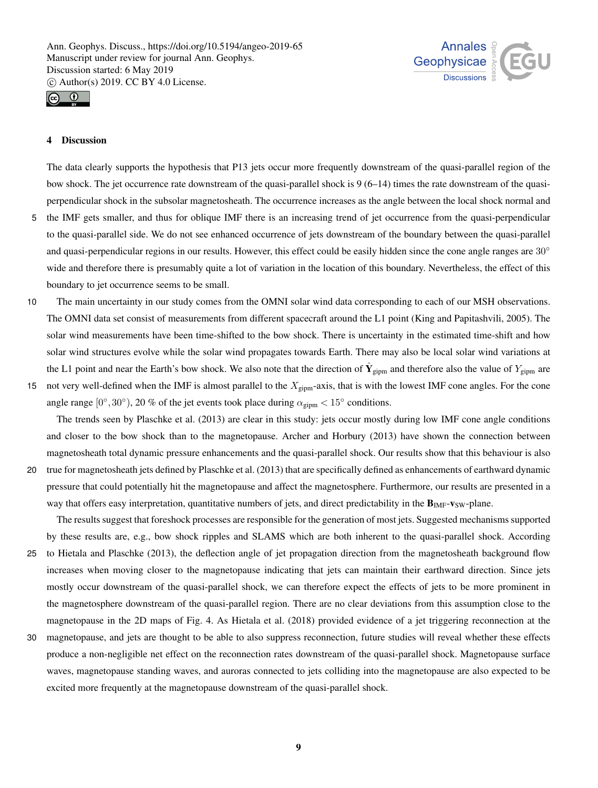



# 4 Discussion

The data clearly supports the hypothesis that P13 jets occur more frequently downstream of the quasi-parallel region of the bow shock. The jet occurrence rate downstream of the quasi-parallel shock is 9 (6–14) times the rate downstream of the quasiperpendicular shock in the subsolar magnetosheath. The occurrence increases as the angle between the local shock normal and

- 5 the IMF gets smaller, and thus for oblique IMF there is an increasing trend of jet occurrence from the quasi-perpendicular to the quasi-parallel side. We do not see enhanced occurrence of jets downstream of the boundary between the quasi-parallel and quasi-perpendicular regions in our results. However, this effect could be easily hidden since the cone angle ranges are 30° wide and therefore there is presumably quite a lot of variation in the location of this boundary. Nevertheless, the effect of this boundary to jet occurrence seems to be small.
- 10 The main uncertainty in our study comes from the OMNI solar wind data corresponding to each of our MSH observations. The OMNI data set consist of measurements from different spacecraft around the L1 point (King and Papitashvili, 2005). The solar wind measurements have been time-shifted to the bow shock. There is uncertainty in the estimated time-shift and how solar wind structures evolve while the solar wind propagates towards Earth. There may also be local solar wind variations at the L1 point and near the Earth's bow shock. We also note that the direction of  $\hat{Y}_{gipm}$  and therefore also the value of  $Y_{gipm}$  are
- 15 not very well-defined when the IMF is almost parallel to the  $X_{\text{gipm}}$ -axis, that is with the lowest IMF cone angles. For the cone angle range  $[0^\circ, 30^\circ)$ , 20 % of the jet events took place during  $\alpha_{\text{gipm}} < 15^\circ$  conditions.

The trends seen by Plaschke et al. (2013) are clear in this study: jets occur mostly during low IMF cone angle conditions and closer to the bow shock than to the magnetopause. Archer and Horbury (2013) have shown the connection between magnetosheath total dynamic pressure enhancements and the quasi-parallel shock. Our results show that this behaviour is also

20 true for magnetosheath jets defined by Plaschke et al. (2013) that are specifically defined as enhancements of earthward dynamic pressure that could potentially hit the magnetopause and affect the magnetosphere. Furthermore, our results are presented in a way that offers easy interpretation, quantitative numbers of jets, and direct predictability in the  $B_{IMF}-v_{SW}-plane$ .

The results suggest that foreshock processes are responsible for the generation of most jets. Suggested mechanisms supported by these results are, e.g., bow shock ripples and SLAMS which are both inherent to the quasi-parallel shock. According 25 to Hietala and Plaschke (2013), the deflection angle of jet propagation direction from the magnetosheath background flow

- increases when moving closer to the magnetopause indicating that jets can maintain their earthward direction. Since jets mostly occur downstream of the quasi-parallel shock, we can therefore expect the effects of jets to be more prominent in the magnetosphere downstream of the quasi-parallel region. There are no clear deviations from this assumption close to the magnetopause in the 2D maps of Fig. 4. As Hietala et al. (2018) provided evidence of a jet triggering reconnection at the
- 30 magnetopause, and jets are thought to be able to also suppress reconnection, future studies will reveal whether these effects produce a non-negligible net effect on the reconnection rates downstream of the quasi-parallel shock. Magnetopause surface waves, magnetopause standing waves, and auroras connected to jets colliding into the magnetopause are also expected to be excited more frequently at the magnetopause downstream of the quasi-parallel shock.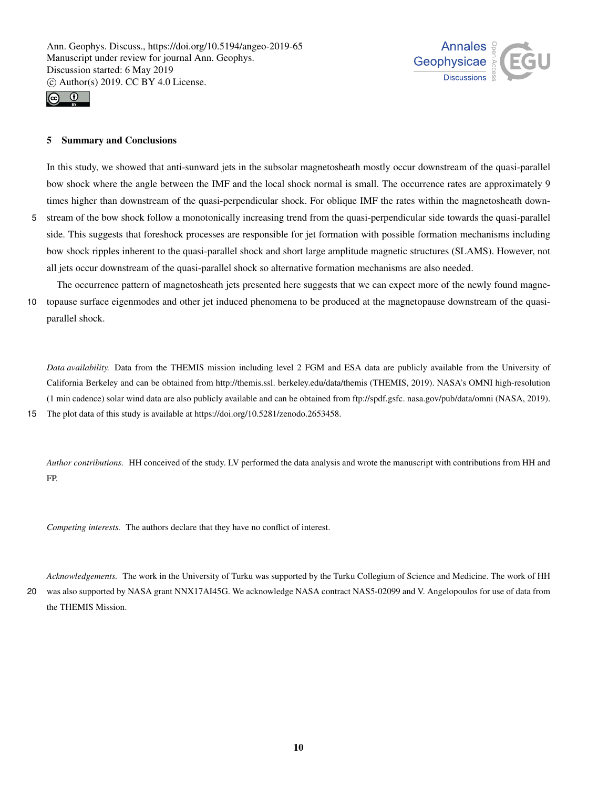



FP.

# 5 Summary and Conclusions

In this study, we showed that anti-sunward jets in the subsolar magnetosheath mostly occur downstream of the quasi-parallel bow shock where the angle between the IMF and the local shock normal is small. The occurrence rates are approximately 9 times higher than downstream of the quasi-perpendicular shock. For oblique IMF the rates within the magnetosheath down-5 stream of the bow shock follow a monotonically increasing trend from the quasi-perpendicular side towards the quasi-parallel side. This suggests that foreshock processes are responsible for jet formation with possible formation mechanisms including

bow shock ripples inherent to the quasi-parallel shock and short large amplitude magnetic structures (SLAMS). However, not all jets occur downstream of the quasi-parallel shock so alternative formation mechanisms are also needed.

The occurrence pattern of magnetosheath jets presented here suggests that we can expect more of the newly found magne-10 topause surface eigenmodes and other jet induced phenomena to be produced at the magnetopause downstream of the quasiparallel shock.

*Data availability.* Data from the THEMIS mission including level 2 FGM and ESA data are publicly available from the University of California Berkeley and can be obtained from http://themis.ssl. berkeley.edu/data/themis (THEMIS, 2019). NASA's OMNI high-resolution (1 min cadence) solar wind data are also publicly available and can be obtained from ftp://spdf.gsfc. nasa.gov/pub/data/omni (NASA, 2019). 15 The plot data of this study is available at https://doi.org/10.5281/zenodo.2653458.

*Author contributions.* HH conceived of the study. LV performed the data analysis and wrote the manuscript with contributions from HH and

*Competing interests.* The authors declare that they have no conflict of interest.

*Acknowledgements.* The work in the University of Turku was supported by the Turku Collegium of Science and Medicine. The work of HH 20 was also supported by NASA grant NNX17AI45G. We acknowledge NASA contract NAS5-02099 and V. Angelopoulos for use of data from the THEMIS Mission.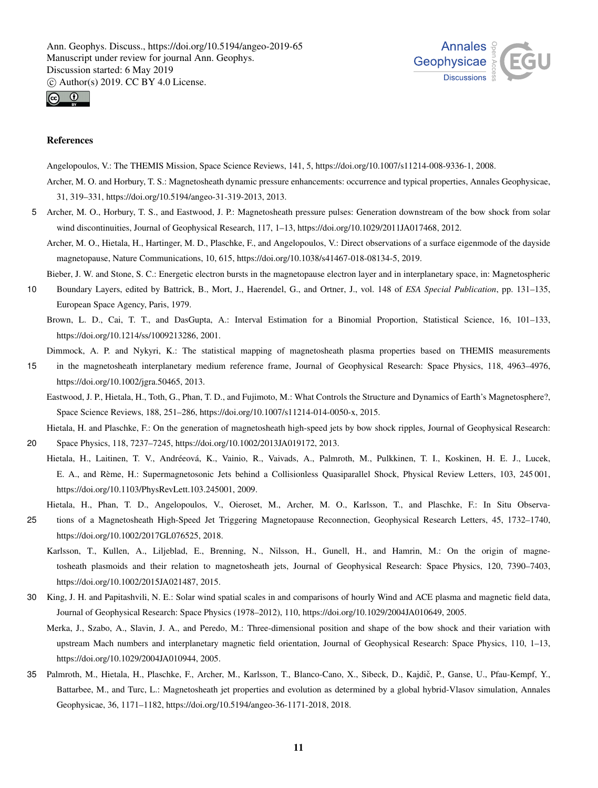



## References

Angelopoulos, V.: The THEMIS Mission, Space Science Reviews, 141, 5, https://doi.org/10.1007/s11214-008-9336-1, 2008. Archer, M. O. and Horbury, T. S.: Magnetosheath dynamic pressure enhancements: occurrence and typical properties, Annales Geophysicae, 31, 319–331, https://doi.org/10.5194/angeo-31-319-2013, 2013.

- 5 Archer, M. O., Horbury, T. S., and Eastwood, J. P.: Magnetosheath pressure pulses: Generation downstream of the bow shock from solar wind discontinuities, Journal of Geophysical Research, 117, 1–13, https://doi.org/10.1029/2011JA017468, 2012.
	- Archer, M. O., Hietala, H., Hartinger, M. D., Plaschke, F., and Angelopoulos, V.: Direct observations of a surface eigenmode of the dayside magnetopause, Nature Communications, 10, 615, https://doi.org/10.1038/s41467-018-08134-5, 2019.

Bieber, J. W. and Stone, S. C.: Energetic electron bursts in the magnetopause electron layer and in interplanetary space, in: Magnetospheric

- 10 Boundary Layers, edited by Battrick, B., Mort, J., Haerendel, G., and Ortner, J., vol. 148 of *ESA Special Publication*, pp. 131–135, European Space Agency, Paris, 1979.
	- Brown, L. D., Cai, T. T., and DasGupta, A.: Interval Estimation for a Binomial Proportion, Statistical Science, 16, 101–133, https://doi.org/10.1214/ss/1009213286, 2001.
	- Dimmock, A. P. and Nykyri, K.: The statistical mapping of magnetosheath plasma properties based on THEMIS measurements
- 15 in the magnetosheath interplanetary medium reference frame, Journal of Geophysical Research: Space Physics, 118, 4963–4976, https://doi.org/10.1002/jgra.50465, 2013.
	- Eastwood, J. P., Hietala, H., Toth, G., Phan, T. D., and Fujimoto, M.: What Controls the Structure and Dynamics of Earth's Magnetosphere?, Space Science Reviews, 188, 251–286, https://doi.org/10.1007/s11214-014-0050-x, 2015.

Hietala, H. and Plaschke, F.: On the generation of magnetosheath high-speed jets by bow shock ripples, Journal of Geophysical Research:

- 20 Space Physics, 118, 7237–7245, https://doi.org/10.1002/2013JA019172, 2013.
	- Hietala, H., Laitinen, T. V., Andréeová, K., Vainio, R., Vaivads, A., Palmroth, M., Pulkkinen, T. I., Koskinen, H. E. J., Lucek, E. A., and Rème, H.: Supermagnetosonic Jets behind a Collisionless Quasiparallel Shock, Physical Review Letters, 103, 245 001, https://doi.org/10.1103/PhysRevLett.103.245001, 2009.
		- Hietala, H., Phan, T. D., Angelopoulos, V., Oieroset, M., Archer, M. O., Karlsson, T., and Plaschke, F.: In Situ Observa-
- 25 tions of a Magnetosheath High-Speed Jet Triggering Magnetopause Reconnection, Geophysical Research Letters, 45, 1732–1740, https://doi.org/10.1002/2017GL076525, 2018.
	- Karlsson, T., Kullen, A., Liljeblad, E., Brenning, N., Nilsson, H., Gunell, H., and Hamrin, M.: On the origin of magnetosheath plasmoids and their relation to magnetosheath jets, Journal of Geophysical Research: Space Physics, 120, 7390–7403, https://doi.org/10.1002/2015JA021487, 2015.
- 30 King, J. H. and Papitashvili, N. E.: Solar wind spatial scales in and comparisons of hourly Wind and ACE plasma and magnetic field data, Journal of Geophysical Research: Space Physics (1978–2012), 110, https://doi.org/10.1029/2004JA010649, 2005.
	- Merka, J., Szabo, A., Slavin, J. A., and Peredo, M.: Three-dimensional position and shape of the bow shock and their variation with upstream Mach numbers and interplanetary magnetic field orientation, Journal of Geophysical Research: Space Physics, 110, 1–13, https://doi.org/10.1029/2004JA010944, 2005.
- 35 Palmroth, M., Hietala, H., Plaschke, F., Archer, M., Karlsson, T., Blanco-Cano, X., Sibeck, D., Kajdič, P., Ganse, U., Pfau-Kempf, Y., Battarbee, M., and Turc, L.: Magnetosheath jet properties and evolution as determined by a global hybrid-Vlasov simulation, Annales Geophysicae, 36, 1171–1182, https://doi.org/10.5194/angeo-36-1171-2018, 2018.